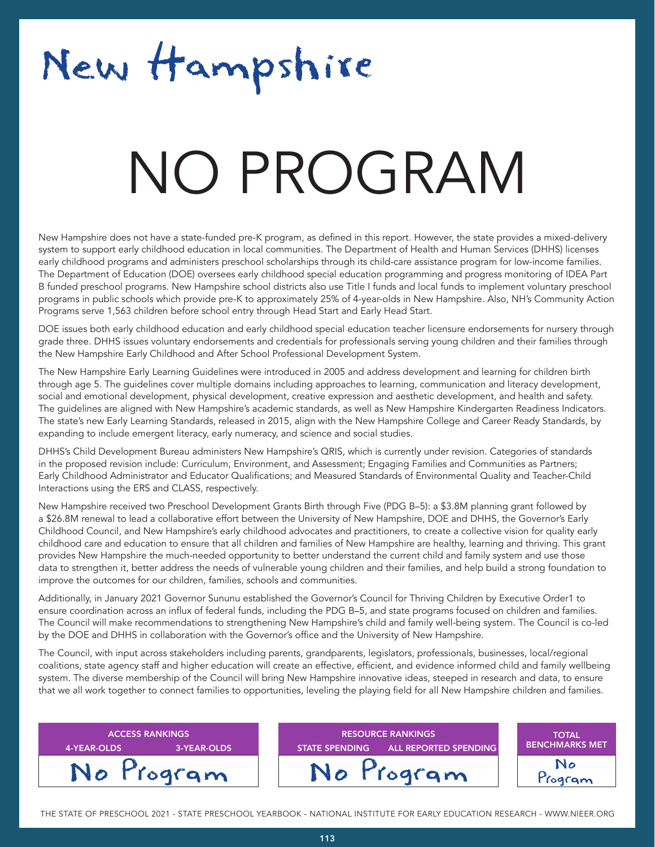## New Hampshire

### NATA T NO PROGRAM

New Hampshire does not have a state-funded pre-K program, as defined in this report. However, the state provides a mixed-delivery system to support early childhood education in local communities. The Department of Health and Human Services (DHHS) licenses early childhood programs and administers preschool scholarships through its child-care assistance program for low-income families. The Department of Education (DOE) oversees early childhood special education programming and progress monitoring of IDEA Part B funded preschool programs. New Hampshire school districts also use Title I funds and local funds to implement voluntary preschool programs in public schools which provide pre-K to approximately 25% of 4-year-olds in New Hampshire. Also, NH's Community Action Programs serve 1,563 children before school entry through Head Start and Early Head Start.

DOE issues both early childhood education and early childhood special education teacher licensure endorsements for nursery through grade three. DHHS issues voluntary endorsements and credentials for professionals serving young children and their families through the New Hampshire Early Childhood and After School Professional Development System.

The New Hampshire Early Learning Guidelines were introduced in 2005 and address development and learning for children birth through age 5. The guidelines cover multiple domains including approaches to learning, communication and literacy development, social and emotional development, physical development, creative expression and aesthetic development, and health and safety. The guidelines are aligned with New Hampshire's academic standards, as well as New Hampshire Kindergarten Readiness Indicators. The state's new Early Learning Standards, released in 2015, align with the New Hampshire College and Career Ready Standards, by expanding to include emergent literacy, early numeracy, and science and social studies.

DHHS's Child Development Bureau administers New Hampshire's QRIS, which is currently under revision. Categories of standards in the proposed revision include: Curriculum, Environment, and Assessment; Engaging Families and Communities as Partners; Early Childhood Administrator and Educator Qualifications; and Measured Standards of Environmental Quality and Teacher-Child Interactions using the ERS and CLASS, respectively.

New Hampshire received two Preschool Development Grants Birth through Five (PDG B–5): a \$3.8M planning grant followed by a \$26.8M renewal to lead a collaborative effort between the University of New Hampshire, DOE and DHHS, the Governor's Early Childhood Council, and New Hampshire's early childhood advocates and practitioners, to create a collective vision for quality early childhood care and education to ensure that all children and families of New Hampshire are healthy, learning and thriving. This grant provides New Hampshire the much-needed opportunity to better understand the current child and family system and use those data to strengthen it, better address the needs of vulnerable young children and their families, and help build a strong foundation to improve the outcomes for our children, families, schools and communities.

Additionally, in January 2021 Governor Sununu established the Governor's Council for Thriving Children by Executive Order1 to ensure coordination across an influx of federal funds, including the PDG B–5, and state programs focused on children and families. The Council will make recommendations to strengthening New Hampshire's child and family well-being system. The Council is co-led by the DOE and DHHS in collaboration with the Governor's office and the University of New Hampshire.

The Council, with input across stakeholders including parents, grandparents, legislators, professionals, businesses, local/regional coalitions, state agency staff and higher education will create an effective, efficient, and evidence informed child and family wellbeing system. The diverse membership of the Council will bring New Hampshire innovative ideas, steeped in research and data, to ensure that we all work together to connect families to opportunities, leveling the playing field for all New Hampshire children and families.

| <b>ACCESS RANKINGS '</b><br>3-YEAR-OLDS<br>4-YEAR-OLDS | <b>RESOURCE RANKINGS</b><br><b>ALL REPORTED SPENDING</b><br><b>STATE SPENDING</b> | <b>TOTAL</b><br><b>BENCHMARKS MET</b> |
|--------------------------------------------------------|-----------------------------------------------------------------------------------|---------------------------------------|
| No Program                                             | No Program                                                                        | No<br>ogram                           |

THE STATE OF PRESCHOOL 2021 - STATE PRESCHOOL YEARBOOK - NATIONAL INSTITUTE FOR EARLY EDUCATION RESEARCH - WWW.NIEER.ORG